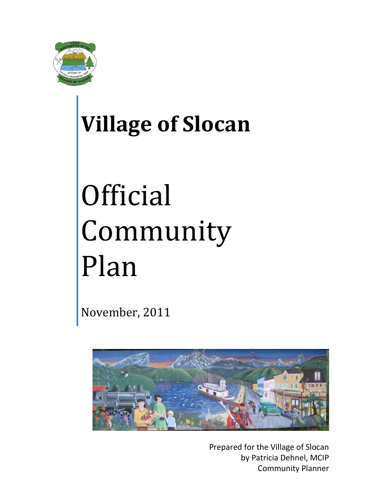

## **Village of Slocan**

# **Official** Community Plan

November, 2011



Prepared for the Village of Slocan by Patricia Dehnel, MCIP Community Planner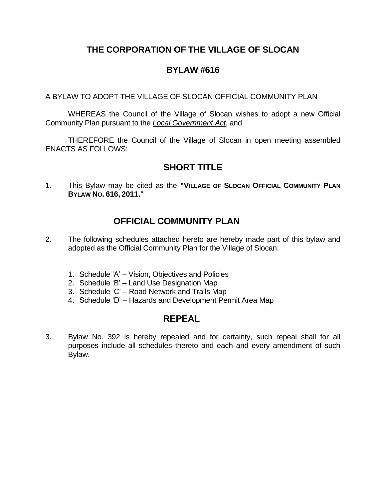## **THE CORPORATION OF THE VILLAGE OF SLOCAN**

### **BYLAW #616**

A BYLAW TO ADOPT THE VILLAGE OF SLOCAN OFFICIAL COMMUNITY PLAN

WHEREAS the Council of the Village of Slocan wishes to adopt a new Official Community Plan pursuant to the *Local Government Act*, and

THEREFORE the Council of the Village of Slocan in open meeting assembled ENACTS AS FOLLOWS:

## **SHORT TITLE**

1. This Bylaw may be cited as the **"VILLAGE OF SLOCAN OFFICIAL COMMUNITY PLAN BYLAW NO. 616, 2011."**

## **OFFICIAL COMMUNITY PLAN**

- 2. The following schedules attached hereto are hereby made part of this bylaw and adopted as the Official Community Plan for the Village of Slocan:
	- 1. Schedule 'A' Vision, Objectives and Policies
	- 2. Schedule 'B' Land Use Designation Map
	- 3. Schedule 'C' Road Network and Trails Map
	- 4. Schedule 'D' Hazards and Development Permit Area Map

#### **REPEAL**

3. Bylaw No. 392 is hereby repealed and for certainty, such repeal shall for all purposes include all schedules thereto and each and every amendment of such Bylaw.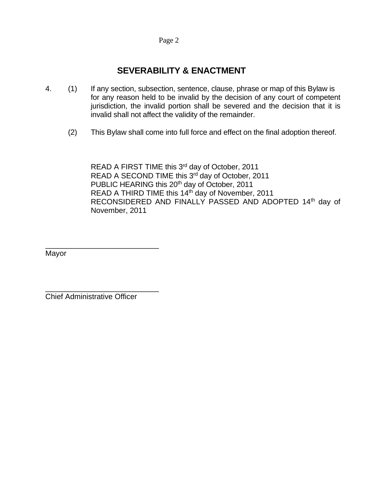#### Page 2

## **SEVERABILITY & ENACTMENT**

- 4. (1) If any section, subsection, sentence, clause, phrase or map of this Bylaw is for any reason held to be invalid by the decision of any court of competent jurisdiction, the invalid portion shall be severed and the decision that it is invalid shall not affect the validity of the remainder.
	- (2) This Bylaw shall come into full force and effect on the final adoption thereof.

READ A FIRST TIME this 3<sup>rd</sup> day of October, 2011 READ A SECOND TIME this 3rd day of October, 2011 PUBLIC HEARING this 20<sup>th</sup> day of October, 2011 READ A THIRD TIME this 14<sup>th</sup> day of November, 2011 RECONSIDERED AND FINALLY PASSED AND ADOPTED 14th day of November, 2011

Mayor

Chief Administrative Officer

\_\_\_\_\_\_\_\_\_\_\_\_\_\_\_\_\_\_\_\_\_\_\_\_\_\_\_

\_\_\_\_\_\_\_\_\_\_\_\_\_\_\_\_\_\_\_\_\_\_\_\_\_\_\_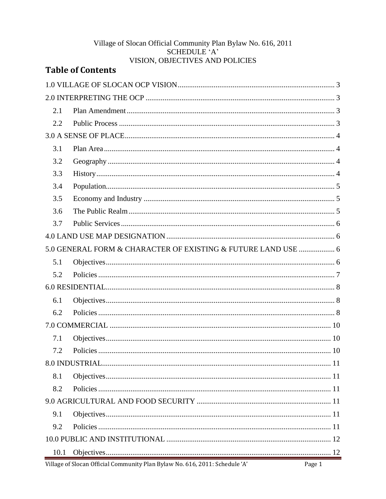#### Village of Slocan Official Community Plan Bylaw No. 616, 2011 SCHEDULE 'A' VISION, OBJECTIVES AND POLICIES

|      | <b>Table of Contents</b>                                      |  |  |  |
|------|---------------------------------------------------------------|--|--|--|
|      |                                                               |  |  |  |
|      |                                                               |  |  |  |
| 2.1  |                                                               |  |  |  |
| 2.2  |                                                               |  |  |  |
|      |                                                               |  |  |  |
| 3.1  |                                                               |  |  |  |
| 3.2  |                                                               |  |  |  |
| 3.3  |                                                               |  |  |  |
| 3.4  |                                                               |  |  |  |
| 3.5  |                                                               |  |  |  |
| 3.6  |                                                               |  |  |  |
| 3.7  |                                                               |  |  |  |
|      |                                                               |  |  |  |
|      | 5.0 GENERAL FORM & CHARACTER OF EXISTING & FUTURE LAND USE  6 |  |  |  |
| 5.1  |                                                               |  |  |  |
| 5.2  |                                                               |  |  |  |
|      |                                                               |  |  |  |
| 6.1  |                                                               |  |  |  |
| 6.2  |                                                               |  |  |  |
|      |                                                               |  |  |  |
| 7.1  |                                                               |  |  |  |
| 7.2  |                                                               |  |  |  |
|      |                                                               |  |  |  |
| 8.1  |                                                               |  |  |  |
| 8.2  |                                                               |  |  |  |
|      |                                                               |  |  |  |
| 9.1  |                                                               |  |  |  |
| 9.2  |                                                               |  |  |  |
|      |                                                               |  |  |  |
| 10.1 |                                                               |  |  |  |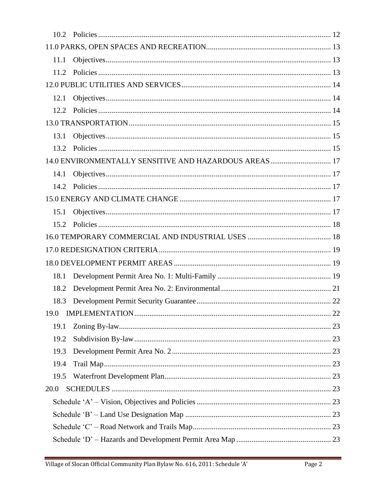| 11.1 |                                                        |  |  |
|------|--------------------------------------------------------|--|--|
| 11.2 |                                                        |  |  |
|      |                                                        |  |  |
| 12.1 |                                                        |  |  |
| 12.2 |                                                        |  |  |
|      |                                                        |  |  |
| 13.1 |                                                        |  |  |
| 13.2 |                                                        |  |  |
|      | 14.0 ENVIRONMENTALLY SENSITIVE AND HAZARDOUS AREAS  17 |  |  |
| 14.1 |                                                        |  |  |
| 14.2 |                                                        |  |  |
|      |                                                        |  |  |
| 15.1 |                                                        |  |  |
| 15.2 |                                                        |  |  |
|      |                                                        |  |  |
|      |                                                        |  |  |
|      |                                                        |  |  |
| 18.1 |                                                        |  |  |
| 18.2 |                                                        |  |  |
| 18.3 |                                                        |  |  |
|      |                                                        |  |  |
| 19.1 |                                                        |  |  |
| 19.2 |                                                        |  |  |
| 19.3 |                                                        |  |  |
| 19.4 |                                                        |  |  |
| 19.5 |                                                        |  |  |
| 20.0 |                                                        |  |  |
|      |                                                        |  |  |
|      |                                                        |  |  |
|      |                                                        |  |  |
|      |                                                        |  |  |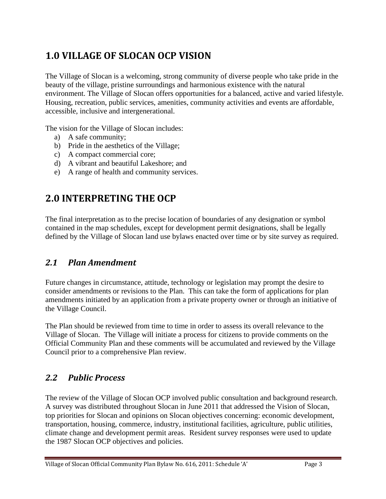## <span id="page-6-0"></span>**1.0 VILLAGE OF SLOCAN OCP VISION**

The Village of Slocan is a welcoming, strong community of diverse people who take pride in the beauty of the village, pristine surroundings and harmonious existence with the natural environment. The Village of Slocan offers opportunities for a balanced, active and varied lifestyle. Housing, recreation, public services, amenities, community activities and events are affordable, accessible, inclusive and intergenerational.

The vision for the Village of Slocan includes:

- a) A safe community;
- b) Pride in the aesthetics of the Village;
- c) A compact commercial core;
- d) A vibrant and beautiful Lakeshore; and
- e) A range of health and community services.

## <span id="page-6-1"></span>**2.0 INTERPRETING THE OCP**

The final interpretation as to the precise location of boundaries of any designation or symbol contained in the map schedules, except for development permit designations, shall be legally defined by the Village of Slocan land use bylaws enacted over time or by site survey as required.

## <span id="page-6-2"></span>*2.1 Plan Amendment*

Future changes in circumstance, attitude, technology or legislation may prompt the desire to consider amendments or revisions to the Plan. This can take the form of applications for plan amendments initiated by an application from a private property owner or through an initiative of the Village Council.

The Plan should be reviewed from time to time in order to assess its overall relevance to the Village of Slocan. The Village will initiate a process for citizens to provide comments on the Official Community Plan and these comments will be accumulated and reviewed by the Village Council prior to a comprehensive Plan review.

## <span id="page-6-3"></span>*2.2 Public Process*

The review of the Village of Slocan OCP involved public consultation and background research. A survey was distributed throughout Slocan in June 2011 that addressed the Vision of Slocan, top priorities for Slocan and opinions on Slocan objectives concerning: economic development, transportation, housing, commerce, industry, institutional facilities, agriculture, public utilities, climate change and development permit areas. Resident survey responses were used to update the 1987 Slocan OCP objectives and policies.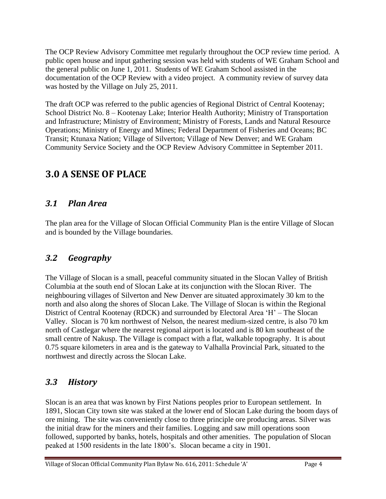The OCP Review Advisory Committee met regularly throughout the OCP review time period. A public open house and input gathering session was held with students of WE Graham School and the general public on June 1, 2011. Students of WE Graham School assisted in the documentation of the OCP Review with a video project. A community review of survey data was hosted by the Village on July 25, 2011.

The draft OCP was referred to the public agencies of Regional District of Central Kootenay; School District No. 8 – Kootenay Lake; Interior Health Authority; Ministry of Transportation and Infrastructure; Ministry of Environment; Ministry of Forests, Lands and Natural Resource Operations; Ministry of Energy and Mines; Federal Department of Fisheries and Oceans; BC Transit; Ktunaxa Nation; Village of Silverton; Village of New Denver; and WE Graham Community Service Society and the OCP Review Advisory Committee in September 2011.

## <span id="page-7-0"></span>**3.0 A SENSE OF PLACE**

## <span id="page-7-1"></span>*3.1 Plan Area*

The plan area for the Village of Slocan Official Community Plan is the entire Village of Slocan and is bounded by the Village boundaries.

#### <span id="page-7-2"></span>*3.2 Geography*

The Village of Slocan is a small, peaceful community situated in the Slocan Valley of British Columbia at the south end of Slocan Lake at its conjunction with the Slocan River. The neighbouring villages of Silverton and New Denver are situated approximately 30 km to the north and also along the shores of Slocan Lake. The Village of Slocan is within the Regional District of Central Kootenay (RDCK) and surrounded by Electoral Area 'H' – The Slocan Valley. Slocan is 70 km northwest of Nelson, the nearest medium-sized centre, is also 70 km north of Castlegar where the nearest regional airport is located and is 80 km southeast of the small centre of Nakusp. The Village is compact with a flat, walkable topography. It is about 0.75 square kilometers in area and is the gateway to Valhalla Provincial Park, situated to the northwest and directly across the Slocan Lake.

## <span id="page-7-3"></span>*3.3 History*

Slocan is an area that was known by First Nations peoples prior to European settlement. In 1891, Slocan City town site was staked at the lower end of Slocan Lake during the boom days of ore mining. The site was conveniently close to three principle ore producing areas. Silver was the initial draw for the miners and their families. Logging and saw mill operations soon followed, supported by banks, hotels, hospitals and other amenities. The population of Slocan peaked at 1500 residents in the late 1800's. Slocan became a city in 1901.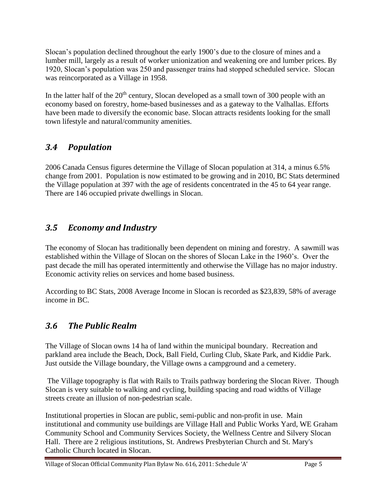Slocan's population declined throughout the early 1900's due to the closure of mines and a lumber mill, largely as a result of worker unionization and weakening ore and lumber prices. By 1920, Slocan's population was 250 and passenger trains had stopped scheduled service. Slocan was reincorporated as a Village in 1958.

In the latter half of the  $20<sup>th</sup>$  century, Slocan developed as a small town of 300 people with an economy based on forestry, home-based businesses and as a gateway to the Valhallas. Efforts have been made to diversify the economic base. Slocan attracts residents looking for the small town lifestyle and natural/community amenities.

## <span id="page-8-0"></span>*3.4 Population*

2006 Canada Census figures determine the Village of Slocan population at 314, a minus 6.5% change from 2001. Population is now estimated to be growing and in 2010, BC Stats determined the Village population at 397 with the age of residents concentrated in the 45 to 64 year range. There are 146 occupied private dwellings in Slocan.

## <span id="page-8-1"></span>*3.5 Economy and Industry*

The economy of Slocan has traditionally been dependent on mining and forestry. A sawmill was established within the Village of Slocan on the shores of Slocan Lake in the 1960's. Over the past decade the mill has operated intermittently and otherwise the Village has no major industry. Economic activity relies on services and home based business.

According to BC Stats, 2008 Average Income in Slocan is recorded as \$23,839, 58% of average income in BC.

## <span id="page-8-2"></span>*3.6 The Public Realm*

The Village of Slocan owns 14 ha of land within the municipal boundary. Recreation and parkland area include the Beach, Dock, Ball Field, Curling Club, Skate Park, and Kiddie Park. Just outside the Village boundary, the Village owns a campground and a cemetery.

The Village topography is flat with Rails to Trails pathway bordering the Slocan River. Though Slocan is very suitable to walking and cycling, building spacing and road widths of Village streets create an illusion of non-pedestrian scale.

Institutional properties in Slocan are public, semi-public and non-profit in use. Main institutional and community use buildings are Village Hall and Public Works Yard, WE Graham Community School and Community Services Society, the Wellness Centre and Silvery Slocan Hall. There are 2 religious institutions, St. Andrews Presbyterian Church and St. Mary's Catholic Church located in Slocan.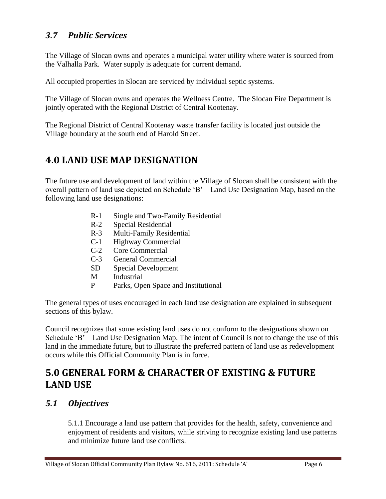## <span id="page-9-0"></span>*3.7 Public Services*

The Village of Slocan owns and operates a municipal water utility where water is sourced from the Valhalla Park. Water supply is adequate for current demand.

All occupied properties in Slocan are serviced by individual septic systems.

The Village of Slocan owns and operates the Wellness Centre. The Slocan Fire Department is jointly operated with the Regional District of Central Kootenay.

The Regional District of Central Kootenay waste transfer facility is located just outside the Village boundary at the south end of Harold Street.

## <span id="page-9-1"></span>**4.0 LAND USE MAP DESIGNATION**

The future use and development of land within the Village of Slocan shall be consistent with the overall pattern of land use depicted on Schedule 'B' – Land Use Designation Map, based on the following land use designations:

- R-1 Single and Two-Family Residential
- R-2 Special Residential
- R-3 Multi-Family Residential
- C-1 Highway Commercial
- C-2 Core Commercial
- C-3 General Commercial
- SD Special Development
- M Industrial
- P Parks, Open Space and Institutional

The general types of uses encouraged in each land use designation are explained in subsequent sections of this bylaw.

Council recognizes that some existing land uses do not conform to the designations shown on Schedule 'B' – Land Use Designation Map. The intent of Council is not to change the use of this land in the immediate future, but to illustrate the preferred pattern of land use as redevelopment occurs while this Official Community Plan is in force.

## <span id="page-9-2"></span>**5.0 GENERAL FORM & CHARACTER OF EXISTING & FUTURE LAND USE**

#### <span id="page-9-3"></span>*5.1 Objectives*

5.1.1 Encourage a land use pattern that provides for the health, safety, convenience and enjoyment of residents and visitors, while striving to recognize existing land use patterns and minimize future land use conflicts.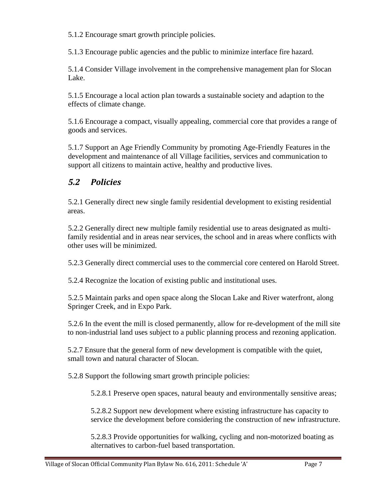5.1.2 Encourage smart growth principle policies.

5.1.3 Encourage public agencies and the public to minimize interface fire hazard.

5.1.4 Consider Village involvement in the comprehensive management plan for Slocan Lake.

5.1.5 Encourage a local action plan towards a sustainable society and adaption to the effects of climate change.

5.1.6 Encourage a compact, visually appealing, commercial core that provides a range of goods and services.

5.1.7 Support an Age Friendly Community by promoting Age-Friendly Features in the development and maintenance of all Village facilities, services and communication to support all citizens to maintain active, healthy and productive lives.

## <span id="page-10-0"></span>*5.2 Policies*

5.2.1 Generally direct new single family residential development to existing residential areas.

5.2.2 Generally direct new multiple family residential use to areas designated as multifamily residential and in areas near services, the school and in areas where conflicts with other uses will be minimized.

5.2.3 Generally direct commercial uses to the commercial core centered on Harold Street.

5.2.4 Recognize the location of existing public and institutional uses.

5.2.5 Maintain parks and open space along the Slocan Lake and River waterfront, along Springer Creek, and in Expo Park.

5.2.6 In the event the mill is closed permanently, allow for re-development of the mill site to non-industrial land uses subject to a public planning process and rezoning application.

5.2.7 Ensure that the general form of new development is compatible with the quiet, small town and natural character of Slocan.

5.2.8 Support the following smart growth principle policies:

5.2.8.1 Preserve open spaces, natural beauty and environmentally sensitive areas;

5.2.8.2 Support new development where existing infrastructure has capacity to service the development before considering the construction of new infrastructure.

5.2.8.3 Provide opportunities for walking, cycling and non-motorized boating as alternatives to carbon-fuel based transportation.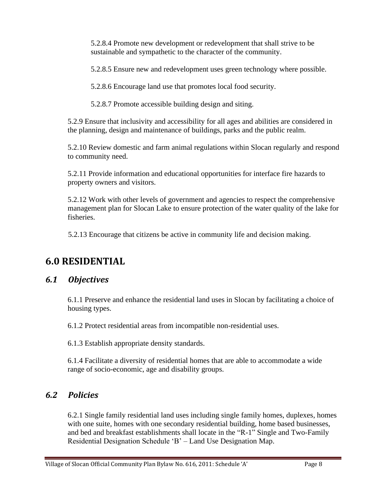5.2.8.4 Promote new development or redevelopment that shall strive to be sustainable and sympathetic to the character of the community.

5.2.8.5 Ensure new and redevelopment uses green technology where possible.

5.2.8.6 Encourage land use that promotes local food security.

5.2.8.7 Promote accessible building design and siting.

5.2.9 Ensure that inclusivity and accessibility for all ages and abilities are considered in the planning, design and maintenance of buildings, parks and the public realm.

5.2.10 Review domestic and farm animal regulations within Slocan regularly and respond to community need.

5.2.11 Provide information and educational opportunities for interface fire hazards to property owners and visitors.

5.2.12 Work with other levels of government and agencies to respect the comprehensive management plan for Slocan Lake to ensure protection of the water quality of the lake for fisheries.

5.2.13 Encourage that citizens be active in community life and decision making.

## <span id="page-11-0"></span>**6.0 RESIDENTIAL**

#### <span id="page-11-1"></span>*6.1 Objectives*

6.1.1 Preserve and enhance the residential land uses in Slocan by facilitating a choice of housing types.

6.1.2 Protect residential areas from incompatible non-residential uses.

6.1.3 Establish appropriate density standards.

6.1.4 Facilitate a diversity of residential homes that are able to accommodate a wide range of socio-economic, age and disability groups.

#### <span id="page-11-2"></span>*6.2 Policies*

6.2.1 Single family residential land uses including single family homes, duplexes, homes with one suite, homes with one secondary residential building, home based businesses, and bed and breakfast establishments shall locate in the "R-1" Single and Two-Family Residential Designation Schedule 'B' – Land Use Designation Map.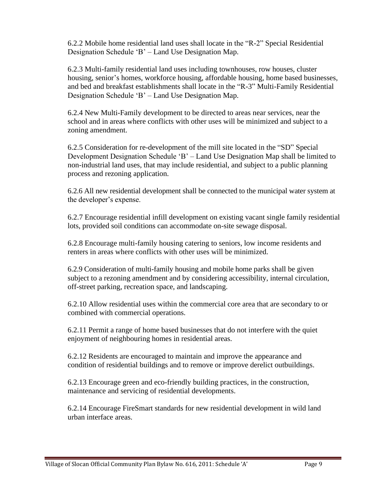6.2.2 Mobile home residential land uses shall locate in the "R-2" Special Residential Designation Schedule 'B' – Land Use Designation Map.

6.2.3 Multi-family residential land uses including townhouses, row houses, cluster housing, senior's homes, workforce housing, affordable housing, home based businesses, and bed and breakfast establishments shall locate in the "R-3" Multi-Family Residential Designation Schedule 'B' – Land Use Designation Map.

6.2.4 New Multi-Family development to be directed to areas near services, near the school and in areas where conflicts with other uses will be minimized and subject to a zoning amendment.

6.2.5 Consideration for re-development of the mill site located in the "SD" Special Development Designation Schedule 'B' – Land Use Designation Map shall be limited to non-industrial land uses, that may include residential, and subject to a public planning process and rezoning application.

6.2.6 All new residential development shall be connected to the municipal water system at the developer's expense.

6.2.7 Encourage residential infill development on existing vacant single family residential lots, provided soil conditions can accommodate on-site sewage disposal.

6.2.8 Encourage multi-family housing catering to seniors, low income residents and renters in areas where conflicts with other uses will be minimized.

6.2.9 Consideration of multi-family housing and mobile home parks shall be given subject to a rezoning amendment and by considering accessibility, internal circulation, off-street parking, recreation space, and landscaping.

6.2.10 Allow residential uses within the commercial core area that are secondary to or combined with commercial operations.

6.2.11 Permit a range of home based businesses that do not interfere with the quiet enjoyment of neighbouring homes in residential areas.

6.2.12 Residents are encouraged to maintain and improve the appearance and condition of residential buildings and to remove or improve derelict outbuildings.

6.2.13 Encourage green and eco-friendly building practices, in the construction, maintenance and servicing of residential developments.

6.2.14 Encourage FireSmart standards for new residential development in wild land urban interface areas.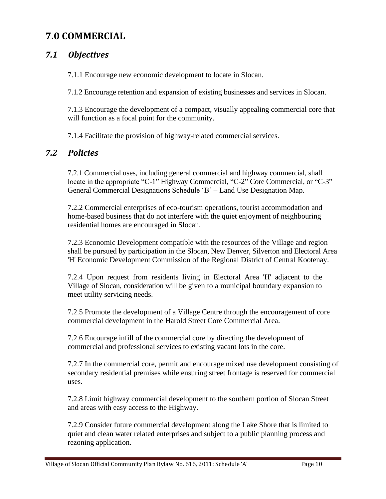## <span id="page-13-0"></span>**7.0 COMMERCIAL**

## <span id="page-13-1"></span>*7.1 Objectives*

7.1.1 Encourage new economic development to locate in Slocan.

7.1.2 Encourage retention and expansion of existing businesses and services in Slocan.

7.1.3 Encourage the development of a compact, visually appealing commercial core that will function as a focal point for the community.

7.1.4 Facilitate the provision of highway-related commercial services.

#### <span id="page-13-2"></span>*7.2 Policies*

7.2.1 Commercial uses, including general commercial and highway commercial, shall locate in the appropriate "C-1" Highway Commercial, "C-2" Core Commercial, or "C-3" General Commercial Designations Schedule 'B' – Land Use Designation Map.

7.2.2 Commercial enterprises of eco-tourism operations, tourist accommodation and home-based business that do not interfere with the quiet enjoyment of neighbouring residential homes are encouraged in Slocan.

7.2.3 Economic Development compatible with the resources of the Village and region shall be pursued by participation in the Slocan, New Denver, Silverton and Electoral Area 'H' Economic Development Commission of the Regional District of Central Kootenay.

7.2.4 Upon request from residents living in Electoral Area 'H' adjacent to the Village of Slocan, consideration will be given to a municipal boundary expansion to meet utility servicing needs.

7.2.5 Promote the development of a Village Centre through the encouragement of core commercial development in the Harold Street Core Commercial Area.

7.2.6 Encourage infill of the commercial core by directing the development of commercial and professional services to existing vacant lots in the core.

7.2.7 In the commercial core, permit and encourage mixed use development consisting of secondary residential premises while ensuring street frontage is reserved for commercial uses.

7.2.8 Limit highway commercial development to the southern portion of Slocan Street and areas with easy access to the Highway.

7.2.9 Consider future commercial development along the Lake Shore that is limited to quiet and clean water related enterprises and subject to a public planning process and rezoning application.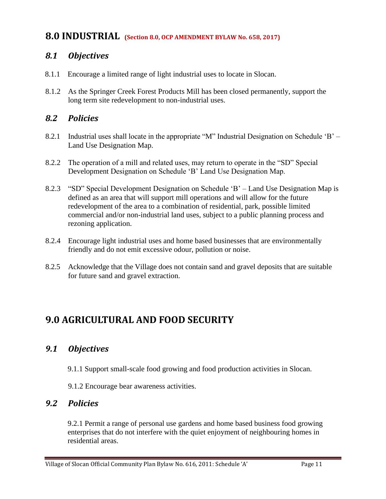#### <span id="page-14-0"></span>**8.0 INDUSTRIAL (Section 8.0, OCP AMENDMENT BYLAW No. 658, 2017)**

#### <span id="page-14-1"></span>*8.1 Objectives*

- 8.1.1 Encourage a limited range of light industrial uses to locate in Slocan.
- 8.1.2 As the Springer Creek Forest Products Mill has been closed permanently, support the long term site redevelopment to non-industrial uses.

### <span id="page-14-2"></span>*8.2 Policies*

- 8.2.1 Industrial uses shall locate in the appropriate "M" Industrial Designation on Schedule 'B' Land Use Designation Map.
- 8.2.2 The operation of a mill and related uses, may return to operate in the "SD" Special Development Designation on Schedule 'B' Land Use Designation Map.
- 8.2.3 "SD" Special Development Designation on Schedule 'B' Land Use Designation Map is defined as an area that will support mill operations and will allow for the future redevelopment of the area to a combination of residential, park, possible limited commercial and/or non-industrial land uses, subject to a public planning process and rezoning application.
- 8.2.4 Encourage light industrial uses and home based businesses that are environmentally friendly and do not emit excessive odour, pollution or noise.
- 8.2.5 Acknowledge that the Village does not contain sand and gravel deposits that are suitable for future sand and gravel extraction.

## <span id="page-14-3"></span>**9.0 AGRICULTURAL AND FOOD SECURITY**

## <span id="page-14-4"></span>*9.1 Objectives*

- 9.1.1 Support small-scale food growing and food production activities in Slocan.
- 9.1.2 Encourage bear awareness activities.

#### <span id="page-14-5"></span>*9.2 Policies*

9.2.1 Permit a range of personal use gardens and home based business food growing enterprises that do not interfere with the quiet enjoyment of neighbouring homes in residential areas.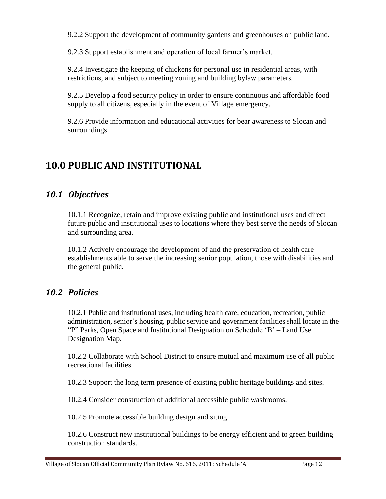9.2.2 Support the development of community gardens and greenhouses on public land.

9.2.3 Support establishment and operation of local farmer's market.

9.2.4 Investigate the keeping of chickens for personal use in residential areas, with restrictions, and subject to meeting zoning and building bylaw parameters.

9.2.5 Develop a food security policy in order to ensure continuous and affordable food supply to all citizens, especially in the event of Village emergency.

9.2.6 Provide information and educational activities for bear awareness to Slocan and surroundings.

## <span id="page-15-0"></span>**10.0 PUBLIC AND INSTITUTIONAL**

## <span id="page-15-1"></span>*10.1 Objectives*

10.1.1 Recognize, retain and improve existing public and institutional uses and direct future public and institutional uses to locations where they best serve the needs of Slocan and surrounding area.

10.1.2 Actively encourage the development of and the preservation of health care establishments able to serve the increasing senior population, those with disabilities and the general public.

## <span id="page-15-2"></span>*10.2 Policies*

10.2.1 Public and institutional uses, including health care, education, recreation, public administration, senior's housing, public service and government facilities shall locate in the "P" Parks, Open Space and Institutional Designation on Schedule 'B' – Land Use Designation Map.

10.2.2 Collaborate with School District to ensure mutual and maximum use of all public recreational facilities.

10.2.3 Support the long term presence of existing public heritage buildings and sites.

10.2.4 Consider construction of additional accessible public washrooms.

10.2.5 Promote accessible building design and siting.

10.2.6 Construct new institutional buildings to be energy efficient and to green building construction standards.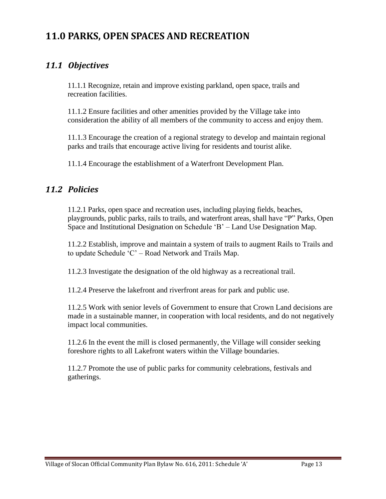## <span id="page-16-0"></span>**11.0 PARKS, OPEN SPACES AND RECREATION**

### <span id="page-16-1"></span>*11.1 Objectives*

11.1.1 Recognize, retain and improve existing parkland, open space, trails and recreation facilities.

11.1.2 Ensure facilities and other amenities provided by the Village take into consideration the ability of all members of the community to access and enjoy them.

11.1.3 Encourage the creation of a regional strategy to develop and maintain regional parks and trails that encourage active living for residents and tourist alike.

11.1.4 Encourage the establishment of a Waterfront Development Plan.

#### <span id="page-16-2"></span>*11.2 Policies*

11.2.1 Parks, open space and recreation uses, including playing fields, beaches, playgrounds, public parks, rails to trails, and waterfront areas, shall have "P" Parks, Open Space and Institutional Designation on Schedule 'B' – Land Use Designation Map.

11.2.2 Establish, improve and maintain a system of trails to augment Rails to Trails and to update Schedule 'C' – Road Network and Trails Map.

11.2.3 Investigate the designation of the old highway as a recreational trail.

11.2.4 Preserve the lakefront and riverfront areas for park and public use.

11.2.5 Work with senior levels of Government to ensure that Crown Land decisions are made in a sustainable manner, in cooperation with local residents, and do not negatively impact local communities.

11.2.6 In the event the mill is closed permanently, the Village will consider seeking foreshore rights to all Lakefront waters within the Village boundaries.

11.2.7 Promote the use of public parks for community celebrations, festivals and gatherings.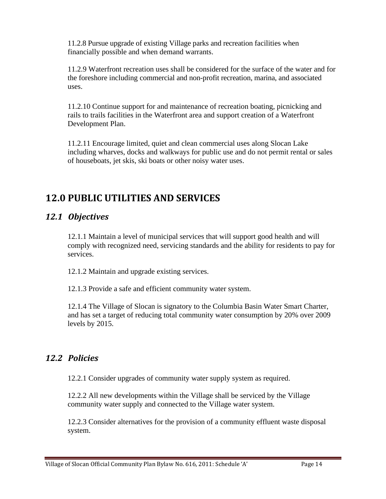11.2.8 Pursue upgrade of existing Village parks and recreation facilities when financially possible and when demand warrants.

11.2.9 Waterfront recreation uses shall be considered for the surface of the water and for the foreshore including commercial and non-profit recreation, marina, and associated uses.

11.2.10 Continue support for and maintenance of recreation boating, picnicking and rails to trails facilities in the Waterfront area and support creation of a Waterfront Development Plan.

<span id="page-17-0"></span>11.2.11 Encourage limited, quiet and clean commercial uses along Slocan Lake including wharves, docks and walkways for public use and do not permit rental or sales of houseboats, jet skis, ski boats or other noisy water uses.

## **12.0 PUBLIC UTILITIES AND SERVICES**

#### <span id="page-17-1"></span>*12.1 Objectives*

12.1.1 Maintain a level of municipal services that will support good health and will comply with recognized need, servicing standards and the ability for residents to pay for services.

12.1.2 Maintain and upgrade existing services.

12.1.3 Provide a safe and efficient community water system.

12.1.4 The Village of Slocan is signatory to the Columbia Basin Water Smart Charter, and has set a target of reducing total community water consumption by 20% over 2009 levels by 2015.

## <span id="page-17-2"></span>*12.2 Policies*

12.2.1 Consider upgrades of community water supply system as required.

12.2.2 All new developments within the Village shall be serviced by the Village community water supply and connected to the Village water system.

12.2.3 Consider alternatives for the provision of a community effluent waste disposal system.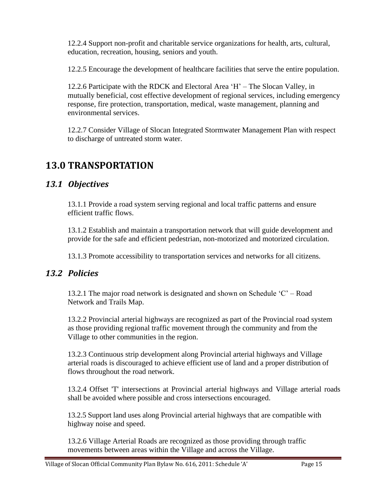12.2.4 Support non-profit and charitable service organizations for health, arts, cultural, education, recreation, housing, seniors and youth.

12.2.5 Encourage the development of healthcare facilities that serve the entire population.

12.2.6 Participate with the RDCK and Electoral Area 'H' – The Slocan Valley, in mutually beneficial, cost effective development of regional services, including emergency response, fire protection, transportation, medical, waste management, planning and environmental services.

12.2.7 Consider Village of Slocan Integrated Stormwater Management Plan with respect to discharge of untreated storm water.

## <span id="page-18-0"></span>**13.0 TRANSPORTATION**

## <span id="page-18-1"></span>*13.1 Objectives*

13.1.1 Provide a road system serving regional and local traffic patterns and ensure efficient traffic flows.

13.1.2 Establish and maintain a transportation network that will guide development and provide for the safe and efficient pedestrian, non-motorized and motorized circulation.

13.1.3 Promote accessibility to transportation services and networks for all citizens.

## <span id="page-18-2"></span>*13.2 Policies*

13.2.1 The major road network is designated and shown on Schedule  $C'$  – Road Network and Trails Map.

13.2.2 Provincial arterial highways are recognized as part of the Provincial road system as those providing regional traffic movement through the community and from the Village to other communities in the region.

13.2.3 Continuous strip development along Provincial arterial highways and Village arterial roads is discouraged to achieve efficient use of land and a proper distribution of flows throughout the road network.

13.2.4 Offset 'T' intersections at Provincial arterial highways and Village arterial roads shall be avoided where possible and cross intersections encouraged.

13.2.5 Support land uses along Provincial arterial highways that are compatible with highway noise and speed.

13.2.6 Village Arterial Roads are recognized as those providing through traffic movements between areas within the Village and across the Village.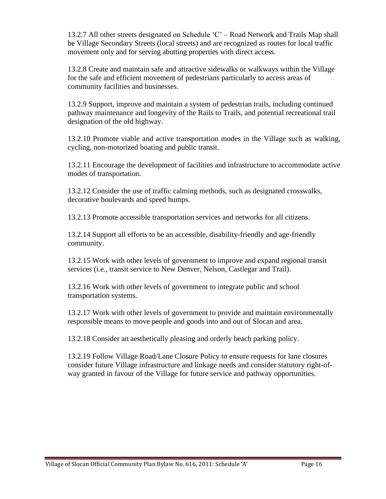13.2.7 All other streets designated on Schedule 'C' – Road Network and Trails Map shall be Village Secondary Streets (local streets) and are recognized as routes for local traffic movement only and for serving abutting properties with direct access.

13.2.8 Create and maintain safe and attractive sidewalks or walkways within the Village for the safe and efficient movement of pedestrians particularly to access areas of community facilities and businesses.

13.2.9 Support, improve and maintain a system of pedestrian trails, including continued pathway maintenance and longevity of the Rails to Trails, and potential recreational trail designation of the old highway.

13.2.10 Promote viable and active transportation modes in the Village such as walking, cycling, non-motorized boating and public transit.

13.2.11 Encourage the development of facilities and infrastructure to accommodate active modes of transportation.

13.2.12 Consider the use of traffic calming methods, such as designated crosswalks, decorative boulevards and speed humps.

13.2.13 Promote accessible transportation services and networks for all citizens.

13.2.14 Support all efforts to be an accessible, disability-friendly and age-friendly community.

13.2.15 Work with other levels of government to improve and expand regional transit services (i.e., transit service to New Denver, Nelson, Castlegar and Trail).

13.2.16 Work with other levels of government to integrate public and school transportation systems.

13.2.17 Work with other levels of government to provide and maintain environmentally responsible means to move people and goods into and out of Slocan and area.

13.2.18 Consider an aesthetically pleasing and orderly beach parking policy.

<span id="page-19-0"></span>13.2.19 Follow Village Road/Lane Closure Policy to ensure requests for lane closures consider future Village infrastructure and linkage needs and consider statutory right-ofway granted in favour of the Village for future service and pathway opportunities.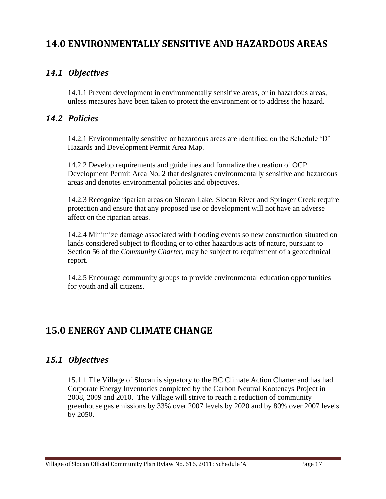## **14.0 ENVIRONMENTALLY SENSITIVE AND HAZARDOUS AREAS**

## <span id="page-20-0"></span>*14.1 Objectives*

14.1.1 Prevent development in environmentally sensitive areas, or in hazardous areas, unless measures have been taken to protect the environment or to address the hazard.

## <span id="page-20-1"></span>*14.2 Policies*

14.2.1 Environmentally sensitive or hazardous areas are identified on the Schedule 'D' – Hazards and Development Permit Area Map.

14.2.2 Develop requirements and guidelines and formalize the creation of OCP Development Permit Area No. 2 that designates environmentally sensitive and hazardous areas and denotes environmental policies and objectives.

14.2.3 Recognize riparian areas on Slocan Lake, Slocan River and Springer Creek require protection and ensure that any proposed use or development will not have an adverse affect on the riparian areas.

14.2.4 Minimize damage associated with flooding events so new construction situated on lands considered subject to flooding or to other hazardous acts of nature, pursuant to Section 56 of the *Community Charter*, may be subject to requirement of a geotechnical report.

14.2.5 Encourage community groups to provide environmental education opportunities for youth and all citizens.

## <span id="page-20-2"></span>**15.0 ENERGY AND CLIMATE CHANGE**

## <span id="page-20-3"></span>*15.1 Objectives*

15.1.1 The Village of Slocan is signatory to the BC Climate Action Charter and has had Corporate Energy Inventories completed by the Carbon Neutral Kootenays Project in 2008, 2009 and 2010. The Village will strive to reach a reduction of community greenhouse gas emissions by 33% over 2007 levels by 2020 and by 80% over 2007 levels by 2050.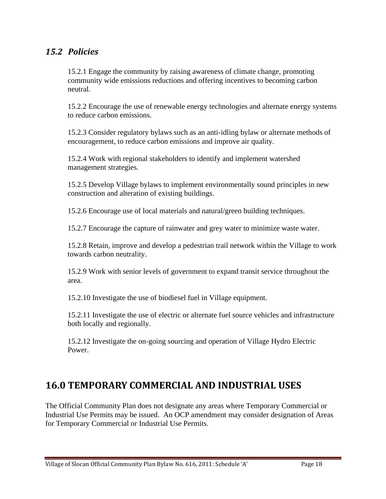#### <span id="page-21-0"></span>*15.2 Policies*

15.2.1 Engage the community by raising awareness of climate change, promoting community wide emissions reductions and offering incentives to becoming carbon neutral.

15.2.2 Encourage the use of renewable energy technologies and alternate energy systems to reduce carbon emissions.

15.2.3 Consider regulatory bylaws such as an anti-idling bylaw or alternate methods of encouragement, to reduce carbon emissions and improve air quality.

15.2.4 Work with regional stakeholders to identify and implement watershed management strategies.

15.2.5 Develop Village bylaws to implement environmentally sound principles in new construction and alteration of existing buildings.

15.2.6 Encourage use of local materials and natural/green building techniques.

15.2.7 Encourage the capture of rainwater and grey water to minimize waste water.

15.2.8 Retain, improve and develop a pedestrian trail network within the Village to work towards carbon neutrality.

15.2.9 Work with senior levels of government to expand transit service throughout the area.

15.2.10 Investigate the use of biodiesel fuel in Village equipment.

15.2.11 Investigate the use of electric or alternate fuel source vehicles and infrastructure both locally and regionally.

15.2.12 Investigate the on-going sourcing and operation of Village Hydro Electric Power.

## <span id="page-21-1"></span>**16.0 TEMPORARY COMMERCIAL AND INDUSTRIAL USES**

The Official Community Plan does not designate any areas where Temporary Commercial or Industrial Use Permits may be issued. An OCP amendment may consider designation of Areas for Temporary Commercial or Industrial Use Permits.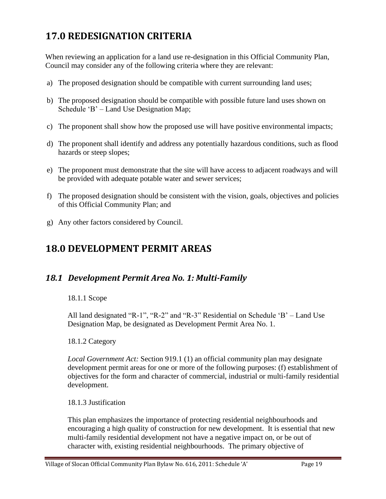## <span id="page-22-0"></span>**17.0 REDESIGNATION CRITERIA**

When reviewing an application for a land use re-designation in this Official Community Plan, Council may consider any of the following criteria where they are relevant:

- a) The proposed designation should be compatible with current surrounding land uses;
- b) The proposed designation should be compatible with possible future land uses shown on Schedule 'B' – Land Use Designation Map;
- c) The proponent shall show how the proposed use will have positive environmental impacts;
- d) The proponent shall identify and address any potentially hazardous conditions, such as flood hazards or steep slopes;
- e) The proponent must demonstrate that the site will have access to adjacent roadways and will be provided with adequate potable water and sewer services;
- f) The proposed designation should be consistent with the vision, goals, objectives and policies of this Official Community Plan; and
- g) Any other factors considered by Council.

## <span id="page-22-1"></span>**18.0 DEVELOPMENT PERMIT AREAS**

## <span id="page-22-2"></span>*18.1 Development Permit Area No. 1: Multi-Family*

18.1.1 Scope

All land designated "R-1", "R-2" and "R-3" Residential on Schedule 'B' – Land Use Designation Map, be designated as Development Permit Area No. 1.

18.1.2 Category

*Local Government Act:* Section 919.1 (1) an official community plan may designate development permit areas for one or more of the following purposes: (f) establishment of objectives for the form and character of commercial, industrial or multi-family residential development.

18.1.3 Justification

This plan emphasizes the importance of protecting residential neighbourhoods and encouraging a high quality of construction for new development. It is essential that new multi-family residential development not have a negative impact on, or be out of character with, existing residential neighbourhoods. The primary objective of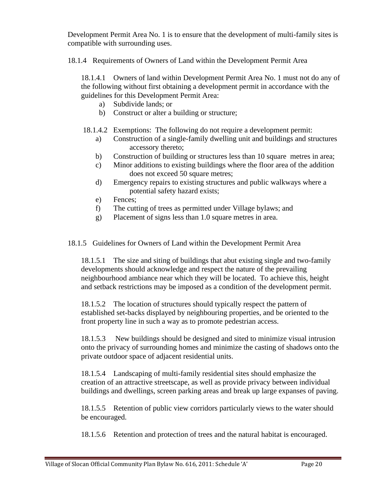Development Permit Area No. 1 is to ensure that the development of multi-family sites is compatible with surrounding uses.

18.1.4 Requirements of Owners of Land within the Development Permit Area

18.1.4.1 Owners of land within Development Permit Area No. 1 must not do any of the following without first obtaining a development permit in accordance with the guidelines for this Development Permit Area:

- a) Subdivide lands; or
- b) Construct or alter a building or structure;
- 18.1.4.2 Exemptions: The following do not require a development permit:
	- a) Construction of a single-family dwelling unit and buildings and structures accessory thereto;
	- b) Construction of building or structures less than 10 square metres in area;
	- c) Minor additions to existing buildings where the floor area of the addition does not exceed 50 square metres;
	- d) Emergency repairs to existing structures and public walkways where a potential safety hazard exists;
	- e) Fences;
	- f) The cutting of trees as permitted under Village bylaws; and
	- g) Placement of signs less than 1.0 square metres in area.

18.1.5 Guidelines for Owners of Land within the Development Permit Area

18.1.5.1 The size and siting of buildings that abut existing single and two-family developments should acknowledge and respect the nature of the prevailing neighbourhood ambiance near which they will be located. To achieve this, height and setback restrictions may be imposed as a condition of the development permit.

18.1.5.2 The location of structures should typically respect the pattern of established set-backs displayed by neighbouring properties, and be oriented to the front property line in such a way as to promote pedestrian access.

18.1.5.3 New buildings should be designed and sited to minimize visual intrusion onto the privacy of surrounding homes and minimize the casting of shadows onto the private outdoor space of adjacent residential units.

18.1.5.4 Landscaping of multi-family residential sites should emphasize the creation of an attractive streetscape, as well as provide privacy between individual buildings and dwellings, screen parking areas and break up large expanses of paving.

18.1.5.5 Retention of public view corridors particularly views to the water should be encouraged.

18.1.5.6 Retention and protection of trees and the natural habitat is encouraged.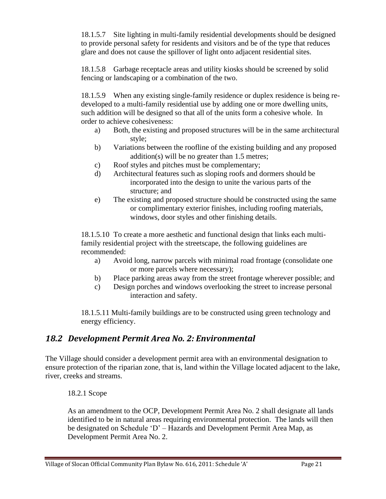18.1.5.7 Site lighting in multi-family residential developments should be designed to provide personal safety for residents and visitors and be of the type that reduces glare and does not cause the spillover of light onto adjacent residential sites.

18.1.5.8 Garbage receptacle areas and utility kiosks should be screened by solid fencing or landscaping or a combination of the two.

18.1.5.9 When any existing single-family residence or duplex residence is being redeveloped to a multi-family residential use by adding one or more dwelling units, such addition will be designed so that all of the units form a cohesive whole. In order to achieve cohesiveness:

- a) Both, the existing and proposed structures will be in the same architectural style;
- b) Variations between the roofline of the existing building and any proposed addition(s) will be no greater than 1.5 metres;
- c) Roof styles and pitches must be complementary;
- d) Architectural features such as sloping roofs and dormers should be incorporated into the design to unite the various parts of the structure; and
- e) The existing and proposed structure should be constructed using the same or complimentary exterior finishes, including roofing materials, windows, door styles and other finishing details.

18.1.5.10 To create a more aesthetic and functional design that links each multifamily residential project with the streetscape, the following guidelines are recommended:

- a) Avoid long, narrow parcels with minimal road frontage (consolidate one or more parcels where necessary);
- b) Place parking areas away from the street frontage wherever possible; and
- c) Design porches and windows overlooking the street to increase personal interaction and safety.

18.1.5.11 Multi-family buildings are to be constructed using green technology and energy efficiency.

## <span id="page-24-0"></span>*18.2 Development Permit Area No. 2: Environmental*

The Village should consider a development permit area with an environmental designation to ensure protection of the riparian zone, that is, land within the Village located adjacent to the lake, river, creeks and streams.

18.2.1 Scope

As an amendment to the OCP, Development Permit Area No. 2 shall designate all lands identified to be in natural areas requiring environmental protection. The lands will then be designated on Schedule 'D' – Hazards and Development Permit Area Map, as Development Permit Area No. 2.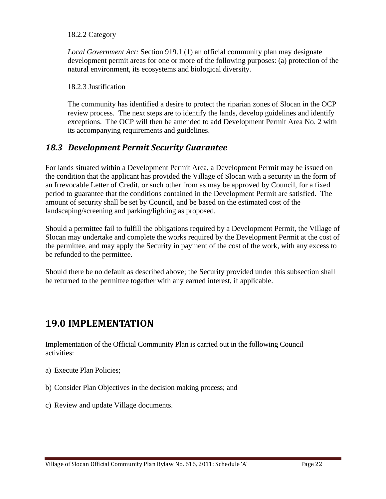#### 18.2.2 Category

*Local Government Act:* Section 919.1 (1) an official community plan may designate development permit areas for one or more of the following purposes: (a) protection of the natural environment, its ecosystems and biological diversity.

18.2.3 Justification

The community has identified a desire to protect the riparian zones of Slocan in the OCP review process. The next steps are to identify the lands, develop guidelines and identify exceptions. The OCP will then be amended to add Development Permit Area No. 2 with its accompanying requirements and guidelines.

#### <span id="page-25-0"></span>*18.3 Development Permit Security Guarantee*

For lands situated within a Development Permit Area, a Development Permit may be issued on the condition that the applicant has provided the Village of Slocan with a security in the form of an Irrevocable Letter of Credit, or such other from as may be approved by Council, for a fixed period to guarantee that the conditions contained in the Development Permit are satisfied. The amount of security shall be set by Council, and be based on the estimated cost of the landscaping/screening and parking/lighting as proposed.

Should a permittee fail to fulfill the obligations required by a Development Permit, the Village of Slocan may undertake and complete the works required by the Development Permit at the cost of the permittee, and may apply the Security in payment of the cost of the work, with any excess to be refunded to the permittee.

Should there be no default as described above; the Security provided under this subsection shall be returned to the permittee together with any earned interest, if applicable.

## <span id="page-25-1"></span>**19.0 IMPLEMENTATION**

Implementation of the Official Community Plan is carried out in the following Council activities:

- a) Execute Plan Policies;
- b) Consider Plan Objectives in the decision making process; and
- c) Review and update Village documents.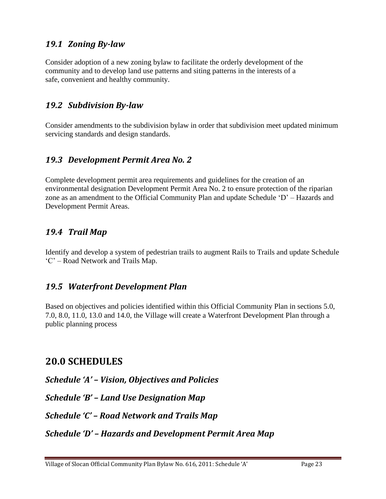## <span id="page-26-0"></span>*19.1 Zoning By-law*

Consider adoption of a new zoning bylaw to facilitate the orderly development of the community and to develop land use patterns and siting patterns in the interests of a safe, convenient and healthy community.

## <span id="page-26-1"></span>*19.2 Subdivision By-law*

Consider amendments to the subdivision bylaw in order that subdivision meet updated minimum servicing standards and design standards.

## <span id="page-26-2"></span>*19.3 Development Permit Area No. 2*

Complete development permit area requirements and guidelines for the creation of an environmental designation Development Permit Area No. 2 to ensure protection of the riparian zone as an amendment to the Official Community Plan and update Schedule 'D' – Hazards and Development Permit Areas.

## <span id="page-26-3"></span>*19.4 Trail Map*

Identify and develop a system of pedestrian trails to augment Rails to Trails and update Schedule 'C' – Road Network and Trails Map.

## <span id="page-26-4"></span>*19.5 Waterfront Development Plan*

Based on objectives and policies identified within this Official Community Plan in sections 5.0, 7.0, 8.0, 11.0, 13.0 and 14.0, the Village will create a Waterfront Development Plan through a public planning process

## **20.0 SCHEDULES**

<span id="page-26-5"></span>*Schedule 'A' – Vision, Objectives and Policies*

<span id="page-26-6"></span>*Schedule 'B' – Land Use Designation Map*

<span id="page-26-7"></span>*Schedule 'C' – Road Network and Trails Map*

<span id="page-26-8"></span>*Schedule 'D' – Hazards and Development Permit Area Map*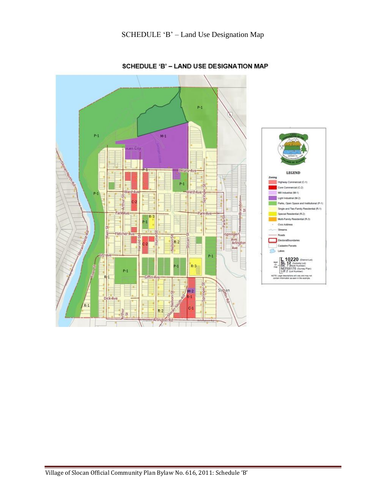

#### SCHEDULE 'B' - LAND USE DESIGNATION MAP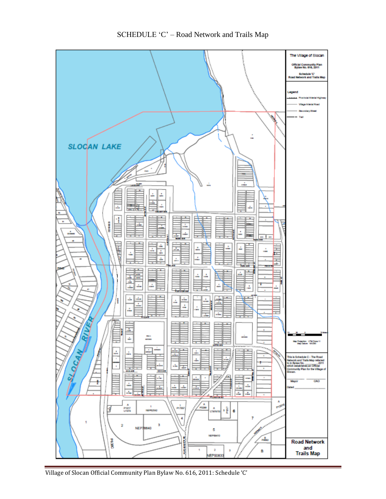

Village of Slocan Official Community Plan Bylaw No. 616, 2011: Schedule 'C'